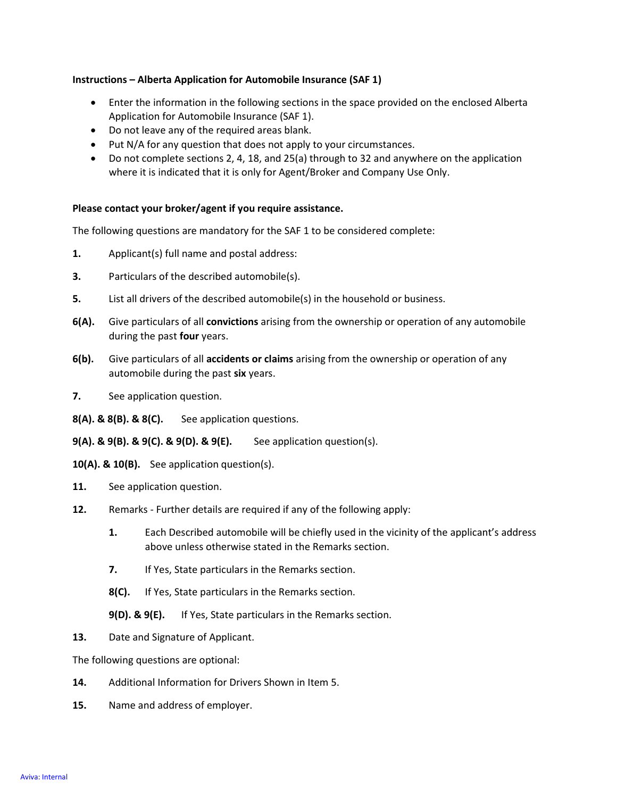## Instructions – Alberta Application for Automobile Insurance (SAF 1)

- Enter the information in the following sections in the space provided on the enclosed Alberta Application for Automobile Insurance (SAF 1).
- Do not leave any of the required areas blank.
- Put N/A for any question that does not apply to your circumstances.
- Do not complete sections 2, 4, 18, and 25(a) through to 32 and anywhere on the application where it is indicated that it is only for Agent/Broker and Company Use Only.

## Please contact your broker/agent if you require assistance.

The following questions are mandatory for the SAF 1 to be considered complete:

- 1. Applicant(s) full name and postal address:
- 3. Particulars of the described automobile(s).
- 5. List all drivers of the described automobile(s) in the household or business.
- 6(A). Give particulars of all convictions arising from the ownership or operation of any automobile during the past four years.
- 6(b). Give particulars of all accidents or claims arising from the ownership or operation of any automobile during the past six years.
- 7. See application question.
- 8(A). & 8(B). & 8(C). See application questions.
- $9(A)$ . &  $9(B)$ . &  $9(C)$ . &  $9(D)$ . &  $9(E)$ . See application question(s).
- 10(A). & 10(B). See application question(s).
- 11. See application question.
- 12. Remarks Further details are required if any of the following apply:
	- 1. Each Described automobile will be chiefly used in the vicinity of the applicant's address above unless otherwise stated in the Remarks section.
	- **7.** If Yes, State particulars in the Remarks section.
	- 8(C). If Yes, State particulars in the Remarks section.
	- 9(D). & 9(E). If Yes, State particulars in the Remarks section.
- 13. Date and Signature of Applicant.

The following questions are optional:

- 14. Additional Information for Drivers Shown in Item 5.
- 15. Name and address of employer.